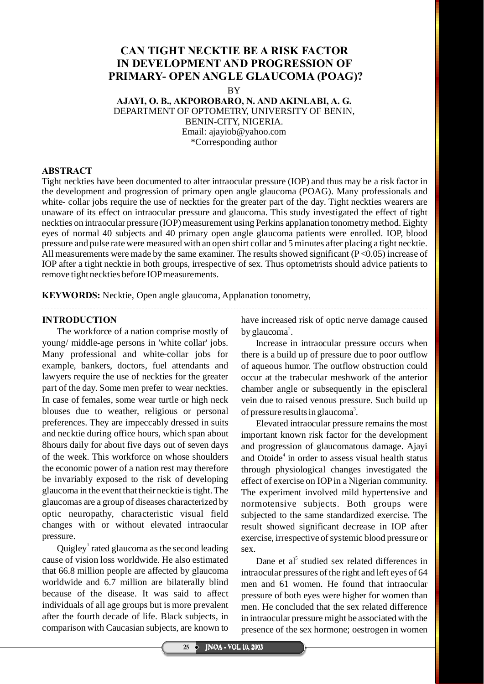# **CAN TIGHT NECKTIE BE A RISK FACTOR IN DEVELOPMENT AND PROGRESSION OF PRIMARY- OPEN ANGLE GLAUCOMA (POAG)?**

BY

# DEPARTMENT OF OPTOMETRY, UNIVERSITY OF BENIN, BENIN-CITY, NIGERIA. Email: ajayiob@yahoo.com \*Corresponding author **AJAYI, O. B., AKPOROBARO, N. AND AKINLABI, A. G.**

#### **ABSTRACT**

Tight neckties have been documented to alter intraocular pressure (IOP) and thus may be a risk factor in the development and progression of primary open angle glaucoma (POAG). Many professionals and white- collar jobs require the use of neckties for the greater part of the day. Tight neckties wearers are unaware of its effect on intraocular pressure and glaucoma. This study investigated the effect of tight neckties on intraocular pressure (IOP) measurement using Perkins applanation tonometry method. Eighty eyes of normal 40 subjects and 40 primary open angle glaucoma patients were enrolled. IOP, blood pressure and pulse rate were measured with an open shirt collar and 5 minutes after placing a tight necktie. All measurements were made by the same examiner. The results showed significant  $(P<0.05)$  increase of IOP after a tight necktie in both groups, irrespective of sex. Thus optometrists should advice patients to remove tight neckties before IOPmeasurements.

**KEYWORDS:** Necktie, Open angle glaucoma, Applanation tonometry,

# **INTRODUCTION**

The workforce of a nation comprise mostly of young/ middle-age persons in 'white collar' jobs. Many professional and white-collar jobs for example, bankers, doctors, fuel attendants and lawyers require the use of neckties for the greater part of the day. Some men prefer to wear neckties. In case of females, some wear turtle or high neck blouses due to weather, religious or personal preferences. They are impeccably dressed in suits and necktie during office hours, which span about 8hours daily for about five days out of seven days of the week. This workforce on whose shoulders the economic power of a nation rest may therefore be invariably exposed to the risk of developing glaucoma in the event that their necktie is tight. The glaucomas are a group of diseases characterized by optic neuropathy, characteristic visual field changes with or without elevated intraocular pressure.

Quigley<sup>1</sup> rated glaucoma as the second leading cause of vision loss worldwide. He also estimated that 66.8 million people are affected by glaucoma worldwide and 6.7 million are bilaterally blind because of the disease. It was said to affect individuals of all age groups but is more prevalent after the fourth decade of life. Black subjects, in comparison with Caucasian subjects, are known to

have increased risk of optic nerve damage caused by glaucoma<sup>2</sup>.

Increase in intraocular pressure occurs when there is a build up of pressure due to poor outflow of aqueous humor. The outflow obstruction could occur at the trabecular meshwork of the anterior chamber angle or subsequently in the episcleral vein due to raised venous pressure. Such build up of pressure results in glaucoma<sup>3</sup>.

Elevated intraocular pressure remains the most important known risk factor for the development and progression of glaucomatous damage. Ajayi and Otoide $\text{\textdegree}^4$  in order to assess visual health status through physiological changes investigated the effect of exercise on IOP in a Nigerian community. The experiment involved mild hypertensive and normotensive subjects. Both groups were subjected to the same standardized exercise. The result showed significant decrease in IOP after exercise, irrespective of systemic blood pressure or sex.

Dane et al<sup>5</sup> studied sex related differences in intraocular pressures of the right and left eyes of 64 men and 61 women. He found that intraocular pressure of both eyes were higher for women than men. He concluded that the sex related difference in intraocular pressure might be associated with the presence of the sex hormone; oestrogen in women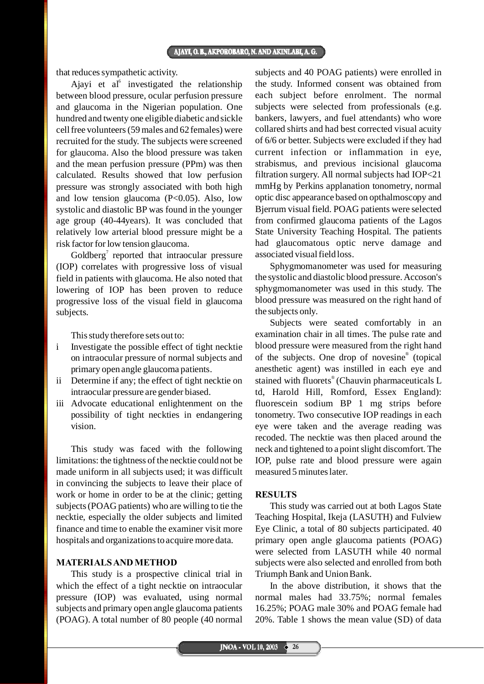that reduces sympathetic activity.

Ajayi et al $^{6}$  investigated the relationship between blood pressure, ocular perfusion pressure and glaucoma in the Nigerian population. One hundred and twenty one eligible diabetic and sickle cell free volunteers (59 males and 62females) were recruited for the study. The subjects were screened for glaucoma. Also the blood pressure was taken and the mean perfusion pressure (PPm) was then calculated. Results showed that low perfusion pressure was strongly associated with both high and low tension glaucoma  $(P<0.05)$ . Also, low systolic and diastolic BP was found in the younger age group (40-44years). It was concluded that relatively low arterial blood pressure might be a risk factor for low tension glaucoma.

Goldberg<sup>7</sup> reported that intraocular pressure (IOP) correlates with progressive loss of visual field in patients with glaucoma. He also noted that lowering of IOP has been proven to reduce progressive loss of the visual field in glaucoma subjects.

This study therefore sets out to:

- i Investigate the possible effect of tight necktie on intraocular pressure of normal subjects and primary open angle glaucoma patients.
- ii Determine if any; the effect of tight necktie on intraocular pressure are gender biased.
- iii Advocate educational enlightenment on the possibility of tight neckties in endangering vision.

This study was faced with the following limitations: the tightness of the necktie couldnot be made uniform in all subjects used; it was difficult in convincing the subjects to leave their place of work or home in order to be at the clinic; getting subjects (POAG patients) who are willing to tie the necktie, especially the older subjects and limited finance and time to enable the examiner visit more hospitals and organizations toacquire more data.

#### **MATERIALS AND METHOD**

This study is a prospective clinical trial in which the effect of a tight necktie on intraocular pressure (IOP) was evaluated, using normal subjects and primary open angle glaucoma patients (POAG). A total number of 80 people (40 normal subjects and 40 POAG patients) were enrolled in the study. Informed consent was obtained from each subject before enrolment. The normal subjects were selected from professionals (e.g. bankers, lawyers, and fuel attendants) who wore collared shirts and had best corrected visual acuity of 6/6 or better. Subjects were excluded if they had current infection or inflammation in eye, strabismus, and previous incisional glaucoma filtration surgery. All normal subjects had IOP<21 mmHg by Perkins applanation tonometry, normal optic disc appearance based on opthalmoscopy and Bjerrum visual field. POAG patients were selected from confirmed glaucoma patients of the Lagos State University Teaching Hospital. The patients had glaucomatous optic nerve damage and associated visual fieldloss.

Sphygmomanometer was used for measuring the systolic and diastolic blood pressure. Accoson's sphygmomanometer was used in this study. The blood pressure was measured on the right hand of the subjects only.

Subjects were seated comfortably in an examination chair in all times. The pulse rate and blood pressure were measured from the right hand of the subjects. One drop of novesine® (topical anesthetic agent) was instilled in each eye and stained with fluorets® (Chauvin pharmaceuticals L td, Harold Hill, Romford, Essex England): fluorescein sodium BP 1 mg strips before tonometry. Two consecutive IOP readings in each eye were taken and the average reading was recoded. The necktie was then placed around the neck and tightened to a point slight discomfort. The IOP, pulse rate and blood pressure were again measured 5 minuteslater.

## **RESULTS**

This study was carried out at both Lagos State Teaching Hospital, Ikeja (LASUTH) and Fulview Eye Clinic, a total of 80 subjects participated. 40 primary open angle glaucoma patients (POAG) were selected from LASUTH while 40 normal subjects were also selected and enrolled from both Triumph Bank and Union Bank.

In the above distribution, it shows that the normal males had 33.75%; normal females 16.25%; POAG male 30% and POAG female had 20%. Table 1 shows the mean value (SD) of data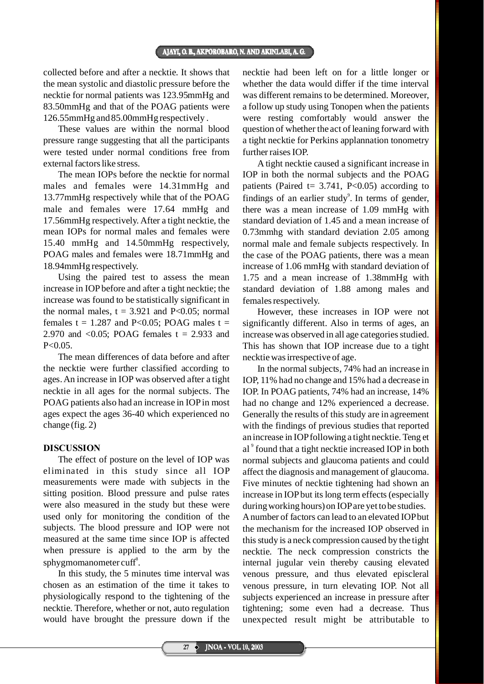#### AJAYL O. B., AKPOROBARO, N. AND AKINLABI, A. G.

collected before and after a necktie. It shows that the mean systolic and diastolic pressure before the necktie for normal patients was 123.95mmHg and 83.50mmHg and that of the POAG patients were 126.55mmHg and85.00mmHgrespectively .

These values are within the normal blood pressure range suggesting that all the participants were tested under normal conditions free from external factors like stress.

The mean IOPs before the necktie for normal males and females were 14.31mmHg and 13.77mmHg respectively while that of the POAG male and females were 17.64 mmHg and 17.56mmHg respectively. After a tight necktie, the mean IOPs for normal males and females were 15.40 mmHg and 14.50mmHg respectively, POAG males and females were 18.71mmHg and 18.94mmHg respectively.

Using the paired test to assess the mean increase in IOP before and after a tight necktie; the increase was found to be statistically significant in the normal males,  $t = 3.921$  and P<0.05; normal females  $t = 1.287$  and P<0.05; POAG males  $t =$ 2.970 and  $\langle 0.05$ : POAG females t = 2.933 and  $P < 0.05$ 

The mean differences of data before and after the necktie were further classified according to ages. An increase in IOP was observed after a tight necktie in all ages for the normal subjects. The POAG patients also had an increase in IOP in most ages expect the ages 36-40 which experienced no change (fig. 2)

## **DISCUSSION**

The effect of posture on the level of IOP was eliminated in this study since all IOP measurements were made with subjects in the sitting position. Blood pressure and pulse rates were also measured in the study but these were used only for monitoring the condition of the subjects. The blood pressure and IOP were not measured at the same time since IOP is affected when pressure is applied to the arm by the sphygmomanometer cuff<sup>8</sup>.

In this study, the 5 minutes time interval was chosen as an estimation of the time it takes to physiologically respond to the tightening of the necktie. Therefore, whether or not, auto regulation would have brought the pressure down if the

necktie had been left on for a little longer or whether the data would differ if the time interval was different remains to be determined. Moreover, a follow up study using Tonopen when the patients were resting comfortably would answer the question of whether the act of leaning forward with a tight necktie for Perkins applannation tonometry further raises IOP.

A tight necktie caused a significant increase in IOP in both the normal subjects and the POAG patients (Paired t=  $3.741$ , P<0.05) according to findings of an earlier study<sup>9</sup>. In terms of gender, there was a mean increase of 1.09 mmHg with standard deviation of 1.45 and a mean increase of 0.73mmhg with standard deviation 2.05 among normal male and female subjects respectively. In the case of the POAG patients, there was a mean increase of 1.06 mmHg with standard deviation of 1.75 and a mean increase of 1.38mmHg with standard deviation of 1.88 among males and females respectively.

However, these increases in IOP were not significantly different. Also in terms of ages, an increase was observed in all age categories studied. This has shown that IOP increase due to a tight necktie was irrespective of age.

In the normal subjects, 74% had an increase in IOP, 11% had no change and 15% had a decrease in IOP. In POAG patients, 74% had an increase, 14% had no change and 12% experienced a decrease. Generally the results of this study are in agreement with the findings of previous studies that reported an increase in IOPfollowing a tight necktie. Teng et al<sup>9</sup> found that a tight necktie increased IOP in both normal subjects and glaucoma patients and could affect the diagnosis and management of glaucoma. Five minutes of necktie tightening had shown an increase in IOP but its long term effects (especially during working hours) on IOP are yet to be studies. Anumber of factors can lead to an elevated IOPbut the mechanism for the increased IOP observed in this study is a neck compression caused by the tight necktie. The neck compression constricts the internal jugular vein thereby causing elevated venous pressure, and thus elevated episcleral venous pressure, in turn elevating IOP. Not all subjects experienced an increase in pressure after tightening; some even had a decrease. Thus

unexpected result might be attributable to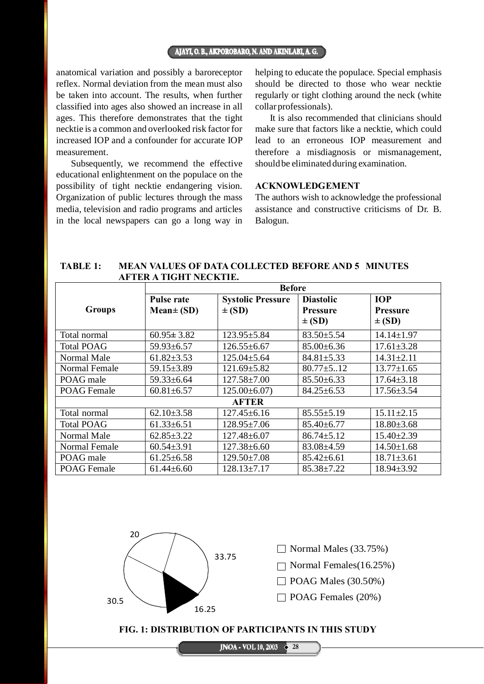#### AJAYL O. B., AKPOROBARO, N. AND AKINLABI, A. G.

anatomical variation and possibly a baroreceptor reflex. Normal deviation from the mean must also be taken into account. The results, when further classified into ages also showed an increase in all ages. This therefore demonstrates that the tight necktie is a common and overlooked risk factor for increased IOP and a confounder for accurate IOP measurement.

Subsequently, we recommend the effective educational enlightenment on the populace on the possibility of tight necktie endangering vision. Organization of public lectures through the mass media, television and radio programs and articles in the local newspapers can go a long way in helping to educate the populace. Special emphasis should be directed to those who wear necktie regularly or tight clothing around the neck (white collar professionals).

It is also recommended that clinicians should make sure that factors like a necktie, which could lead to an erroneous IOP measurement and therefore a misdiagnosis or mismanagement, should be eliminated during examination.

# **ACKNOWLEDGEMENT**

The authors wish to acknowledge the professional assistance and constructive criticisms of Dr. B. Balogun.

| аг гека поштиеские.  |                                      |                                        |                                                   |                                             |
|----------------------|--------------------------------------|----------------------------------------|---------------------------------------------------|---------------------------------------------|
|                      | <b>Before</b>                        |                                        |                                                   |                                             |
| <b>Groups</b>        | <b>Pulse rate</b><br>$Mean \pm (SD)$ | <b>Systolic Pressure</b><br>$\pm (SD)$ | <b>Diastolic</b><br><b>Pressure</b><br>$\pm (SD)$ | <b>IOP</b><br><b>Pressure</b><br>$\pm (SD)$ |
| Total normal         | $60.95 \pm 3.82$                     | $123.95 \pm 5.84$                      | $83.50 \pm 5.54$                                  | $14.14 \pm 1.97$                            |
| <b>Total POAG</b>    | $59.93 \pm 6.57$                     | $126.55 \pm 6.67$                      | $85.00 \pm 6.36$                                  | $17.61 \pm 3.28$                            |
| Normal Male          | $61.82 \pm 3.53$                     | $125.04 \pm 5.64$                      | $84.81 \pm 5.33$                                  | $14.31 \pm 2.11$                            |
| <b>Normal Female</b> | $59.15 \pm 3.89$                     | $121.69 \pm 5.82$                      | $80.77 \pm 5.12$                                  | $13.77 \pm 1.65$                            |
| POAG male            | $59.33 \pm 6.64$                     | $127.58 \pm 7.00$                      | $85.50 \pm 6.33$                                  | $17.64 \pm 3.18$                            |
| <b>POAG Female</b>   | $60.81 \pm 6.57$                     | $125.00\pm 6.07$                       | $84.25 \pm 6.53$                                  | $17.56 \pm 3.54$                            |
| <b>AFTER</b>         |                                      |                                        |                                                   |                                             |
| Total normal         | $62.10 \pm 3.58$                     | $127.45 \pm 6.16$                      | $85.55 \pm 5.19$                                  | $15.11 \pm 2.15$                            |
| <b>Total POAG</b>    | $61.33 \pm 6.51$                     | $128.95 \pm 7.06$                      | $85.40 \pm 6.77$                                  | $18.80 \pm 3.68$                            |
| <b>Normal Male</b>   | $62.85 \pm 3.22$                     | 127.48±6.07                            | $86.74 \pm 5.12$                                  | $15.40 \pm 2.39$                            |
| <b>Normal Female</b> | $60.54 \pm 3.91$                     | 127.38±6.60                            | $83.08 \pm 4.59$                                  | $14.50 \pm 1.68$                            |
| POAG male            | $61.25 \pm 6.58$                     | $129.50 \pm 7.08$                      | $85.42 \pm 6.61$                                  | $18.71 \pm 3.61$                            |
| <b>POAG Female</b>   | $61.44 \pm 6.60$                     | $128.13 \pm 7.17$                      | $85.38 \pm 7.22$                                  | $18.94 \pm 3.92$                            |

**TABLE 1: MEAN VALUES OF DATA COLLECTED BEFORE AND 5 MINUTES AFTER A TIGHT NECKTIE.**



#### **FIG. 1: DISTRIBUTION OF PARTICIPANTS IN THIS STUDY**

**INOA - VOL 10, 2003**  $\leftarrow 28$